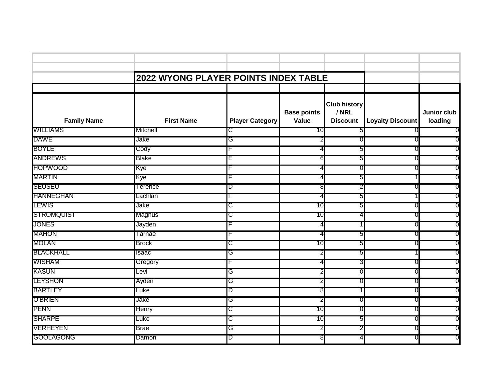|                    | 2022 WYONG PLAYER POINTS INDEX TABLE |                        |                             |                                                 |                         |                        |  |
|--------------------|--------------------------------------|------------------------|-----------------------------|-------------------------------------------------|-------------------------|------------------------|--|
|                    |                                      |                        |                             |                                                 |                         |                        |  |
|                    |                                      |                        |                             |                                                 |                         |                        |  |
| <b>Family Name</b> | <b>First Name</b>                    | <b>Player Category</b> | <b>Base points</b><br>Value | <b>Club history</b><br>/ NRL<br><b>Discount</b> | <b>Loyalty Discount</b> | Junior club<br>loading |  |
| <b>WILLIAMS</b>    | Mitchell                             | C.                     | 10                          | h                                               | $\Omega$                | -0                     |  |
| <b>DAWE</b>        | Jake                                 | G                      | ∠                           |                                                 | 0                       | O                      |  |
| <b>BOYLE</b>       | Cody                                 |                        | 4                           |                                                 | 0                       | 0                      |  |
| <b>ANDREWS</b>     | <b>Blake</b>                         | ᄂ                      | 6                           | 5                                               | $\Omega$                | 0                      |  |
| <b>HOPWOOD</b>     | Kye                                  |                        | 4                           |                                                 | O                       | O                      |  |
| <b>MARTIN</b>      | Kye                                  |                        | 4                           |                                                 |                         | O                      |  |
| <b>SEUSEU</b>      | Terence                              | D                      | 8                           |                                                 | $\Omega$                | 0                      |  |
| <b>HANNEGHAN</b>   | Lachlan                              |                        | 4                           | ь                                               |                         | O                      |  |
| LEWIS              | Jake                                 | C                      | 10                          | 5                                               | O                       | O                      |  |
| <b>STROMQUIST</b>  | Magnus                               | C                      | 10                          |                                                 | 0                       | 0                      |  |
| <b>JONES</b>       | Jayden                               |                        | 4                           |                                                 | $\mathbf{0}$            | O                      |  |
| <b>MAHON</b>       | Tarnae                               |                        | 4                           | b                                               | O                       | O                      |  |
| <b>MOLAN</b>       | <b>Brock</b>                         | C.                     | 10                          | 5                                               | O                       | 0                      |  |
| <b>BLACKHALL</b>   | Isaac                                | G                      | $\overline{2}$              | b                                               |                         | 0                      |  |
| <b>WISHAM</b>      | Gregory                              |                        | 4                           |                                                 |                         | O                      |  |
| KASUN              | Levi                                 | G                      | 2                           |                                                 | 0                       | O                      |  |
| LEYSHON            | Ayden                                | G                      | 2                           |                                                 | 0                       | O                      |  |
| <b>BARTLEY</b>     | Luke                                 | D                      | 8                           |                                                 | $\Box$                  | O                      |  |
| <b>O'BRIEN</b>     | Jake                                 | G                      | ∠                           |                                                 | O                       | O                      |  |
| <b>PENN</b>        | <b>Henry</b>                         | ᢗ                      | 10                          |                                                 | 0                       | 0                      |  |
| <b>SHARPE</b>      | Luke                                 | C                      | 10                          | ა                                               | 0                       | O                      |  |
| <b>VERHEYEN</b>    | <b>Brae</b>                          | G                      | 2                           |                                                 | O                       | O                      |  |
| <b>GOOLAGONG</b>   | Damon                                | D                      | 8                           |                                                 |                         | 0                      |  |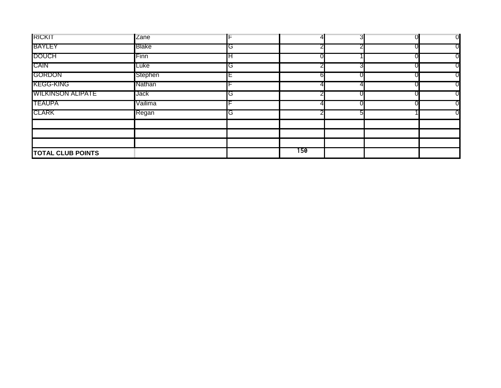| <b>RICKIT</b>            | Zane    |    |     | o | $\overline{0}$ |
|--------------------------|---------|----|-----|---|----------------|
| <b>BAYLEY</b>            | Blake   | IG |     |   | 0              |
| <b>DOUCH</b>             | Finn    | IH |     |   | O              |
| <b>CAIN</b>              | Luke    | IG |     |   | O              |
| <b>GORDON</b>            | Stephen | IΕ |     |   | O              |
| <b>KEGG-KING</b>         | Nathan  |    |     |   | 0              |
| <b>WILKINSON ALIPATE</b> | Jack    | IG |     |   | O              |
| <b>TEAUPA</b>            | Vailima |    |     |   | O              |
| <b>CLARK</b>             | Regan   | IG |     |   | O              |
|                          |         |    |     |   |                |
|                          |         |    |     |   |                |
|                          |         |    |     |   |                |
| <b>TOTAL CLUB POINTS</b> |         |    | 150 |   |                |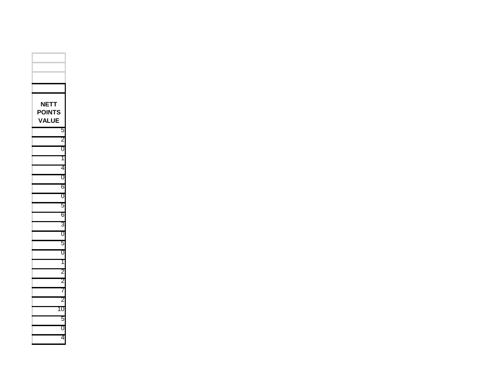